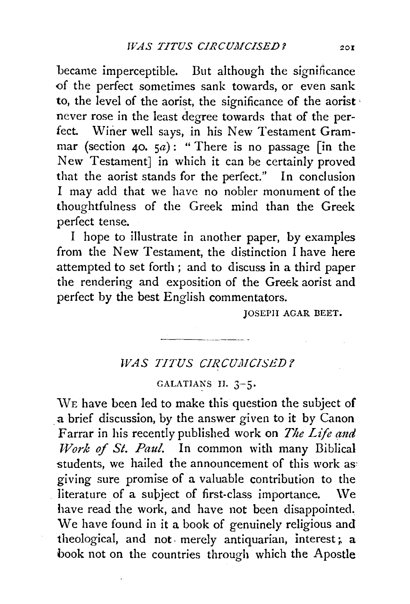became imperceptible. But although the significance of the perfect sometimes sank towards, or even sank to, the level of the aorist, the significance of the aorist · never rose in the least degree towards that of the perfect. Winer well says, in his New Testament Grammar (section 40.  $5a)$ : "There is no passage [in the New Testament] in which it can be certainly proved that the aorist stands for the perfect." In conclusion I may add that we have no nobler monument of the thoughtfulness of the Greek mind than the Greek perfect tense.

I hope to illustrate in another paper, by examples from the New Testament, the distinction I have here attempted to set forth ; and to discuss in a third paper the rendering and exposition of the Greek aorist and perfect by the best English commentators.

JOSEPH AGAR BEET.

## WAS TITUS CIRCUMCISED?

## GALATIANS II. 3-5.

\VE have been led to make this question the subject of a brief discussion, by the answer given to it by Canon Farrar in his recently published work on *The Life and Work of St. Paul.* In common with many Biblical students, we hailed the announcement of this work as: giving sure promise of a valuable contribution to the literature of a subject of first-class importance. We have read the work, and have not been disappointed. We have found in it a book of genuinely religious and theological, and not merely antiquarian, interest; a book not on the countries through which the Apostle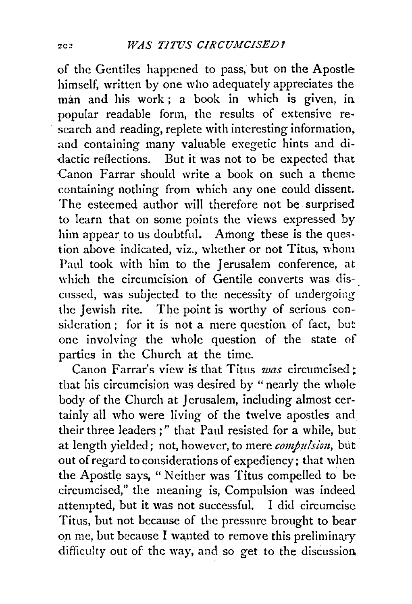of the Gentiles happened to pass, but on the Apostle himself, written by one who adequately appreciates the man and his work ; a book in which is given, in popular readable form, the results of extensive re· search and reading, replete with interesting information. and containing many valuable exegetic hints and di- -dactic reilections. But it was not to be expected that Canon Farrar should write a book on such a theme containing nothing from which any one could dissent. The esteemed author will therefore not be surprised to learn that on some points the views expressed by him appear to us doubtful. Among these is the question above indicated, viz., whether or not Titus, whom Paul took with him to the Jerusalem conference, at which the circumcision of Gentile converts was discussed, was subjected to the necessity of undergoing the Jewish rite. The point is worthy of serious consideration ; for it is not a mere question of fact, but one involving the whole question of the state of parties in the Church at the time.

Canon Farrar's view is that Titus *was* circumcised; that his circumcision was desired by " nearly the whole body of the Church at Jerusalem, including almost certainly all who were living of the twelve apostles and their three leaders;" that Paul resisted for a while, but at length yielded; not, however, to mere *compulsion*, but. out of regard to considerations of expediency; that when the Apostle says, " Neither was Titus compelled to be circumcised," the meaning is, Compulsion was indeed attempted, but it was not successful. I did circumcise Titus, but not because of the pressure brought to bear on me, but because I wanted to remove this preliminary difficulty out of the way, and so get to the discussion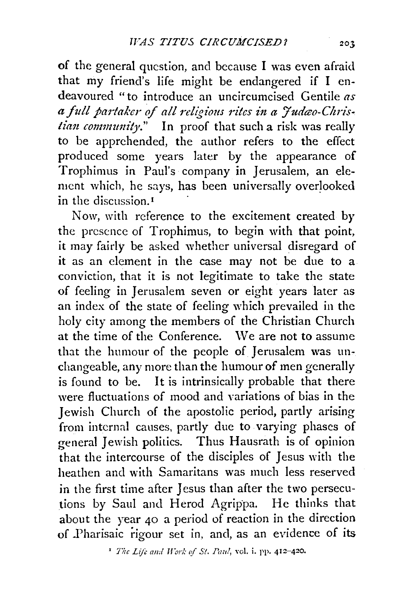of the general question, and because I was even afraid that my friend's life might be endangered if I endeavoured "to introduce an uncircumcised Gentile *as*  a full partaker of all religious rites in a Judao-Chris*tian community*." In proof that such a risk was really to be apprehended, the author refers to the effect produced some years later by the appearance of Trophimus in Paul's company in Jerusalem, an element which, he says, has been universally overlooked in the discussion. <sup>1</sup>

Now, with reference to the excitement created by the presence of Trophimus, to begin with that point, it may fairly be asked whether universal disregard of it as an clement in the case may not be due to a conviction, that it is not legitimate to take the state of feeling in Jerusalem seven or eight years later as an index of the state of feeling which prevailed in the holy city among the members of the Christian Church at the time of the Conference. \Ve are not to assume that the humour of the people of Jerusalem was unchangeable, any more than the humour of men generally is found to be. It is intrinsically probable that there were fluctuations of mood and variations of bias in the Jewish Church of the apostolic period, partly arising from internal causes, partly due to varying phases of general Jewish politics. Thus Hausrath is of opinion that the intercourse of the disciples of Jesus with the heathen and with Samaritans was much less reserved in the first time after Jesus than after the two persecutions by Saul and Herod Agrippa. He thinks that about the year 40 a period of reaction in the direction of .Pharisaic rigour set in, and, as an evidence of its

<sup>1</sup> *The Life and Work of St. Paul*, vol. i. pp. 412-420.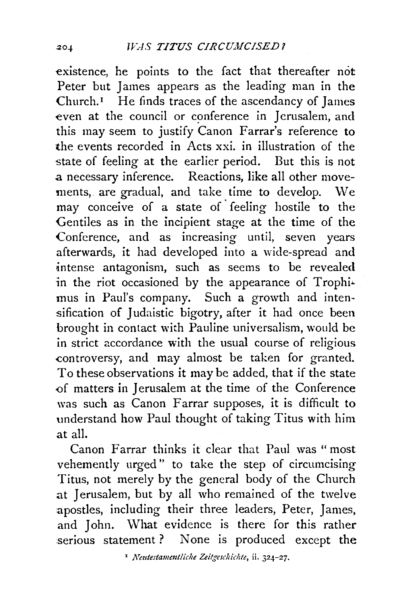existence, he points to the fact that thereafter not Peter but James appears as the leading man in the  $Church.<sup>1</sup>$  He finds traces of the ascendancy of James even at the council or conference in Jerusalem, and this may seem to justify Canon Farrar's reference to the events recorded in Acts xxi. in illustration of the state of feeling at the earlier period. But this is not .a necessary inference. Reactions, like all other movements, are gradual, and take time to develop. We may conceive of a state of· feeling hostile to the Gentiles as in the incipient stage at the time of the Conference, and as increasing until, seven years afterwards, it had developed into a wide-spread and intense antagonism, such as seems to be revealed in the riot occasioned by the appearance of Trophimus in Paul's company. Such a growth and intensification of Judaistic bigotry, after it had once been brought in contact with Pauline universalism, would be in strict accordance with the usual course of religious controversy, and may almost be taken for granted. To these observations it may be added, that if the state of matters in Jerusalem at the time of the Conference was such as Canon Farrar supposes, it is difficult to understand how Paul thought of taking Titus with him at all.

Canon Farrar thinks it clear that Paul was "most vehemently urged" to take the step of circumcising Titus, not merely by the general body of the Church at Jerusalem, but by all who remained of the twelve apostles, including their three leaders, Peter, James, and John. What evidence is there for this rather serious statement? None is produced except the

' *JVetttcstammtliche Zeitgcschidllc,* ii. 324-27.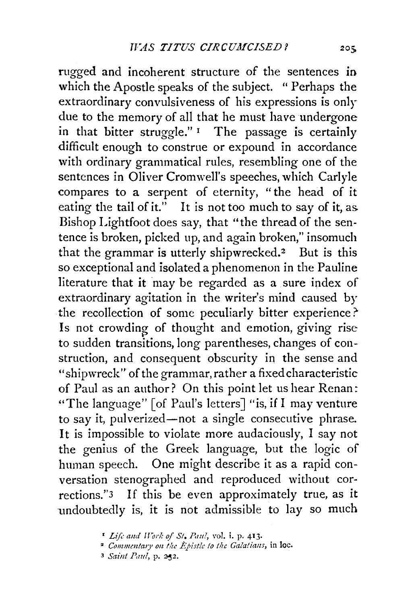rugged and incoherent structure of the sentences in which the Apostle speaks of the subject. " Perhaps the extraordinary convulsiveness of his expressions is only due to the memory of all that he must have undergone in that bitter struggle."<sup>1</sup> The passage is certainly difficult enough to construe or expound in accordance with ordinary grammatical rules, resembling one of the sentences in Oliver Cromwell's speeches, which Carlyle compares to a serpent of eternity, "the head of it eating the tail of it." It is not too much to say of it, as. Bishop Lightfoot does say, that "the thread of the sentence is broken, picked up, and again broken," insomuch that the grammar is utterly shipwrecked.2 But is this so exceptional and isolated a phenomenon in the Pauline literature that it may be regarded as a sure index of extraordinary agitation in the writer's mind caused by the recollection of some peculiarly bitter experience?' Is not crowding of thought and emotion, giving rise to sudden transitions, long parentheses, changes of construction, and consequent obscurity in the sense and "shipwreck" of the grammar, rather a fixed characteristic of Paul as an author? On this point let us hear Renan: "The language" [of Paul's letters] "is, if I may venture to say it, pulverized-not a single consecutive phrase. It is impossible to violate more audaciously, I say not the genius of the Greek language, but the logic of human speech. One might describe it as a rapid conversation stenographed and reproduced without corrections."3 If this be even approximately true, as it undoubtedly is, it is not admissible to lay so much

<sup>&</sup>lt;sup>1</sup> Life and Work of St. Paul, vol. i. p. 413.

<sup>&</sup>lt;sup>2</sup> Commentary on the Epistle to the Galatians, in loc.

<sup>3</sup> Saint Paul, p. 232.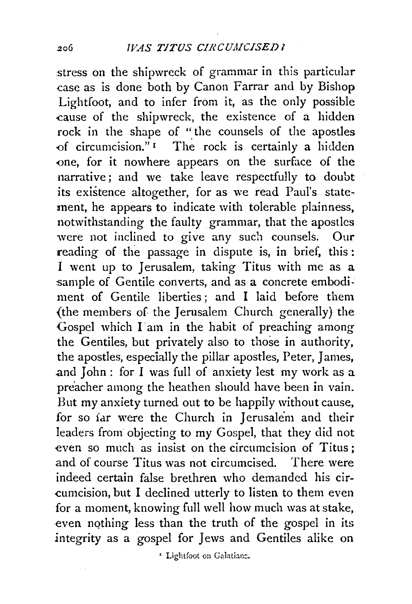stress on the shipwreck of grammar in this particular case as is done both by Canon Farrar and by Bishop Lightfoot, and to infer from it, as the only possible cause of the shipwreck, the existence of a hidden rock in the shape of "the counsels of the apostles of circumcision." $\mathbf{I}$  The rock is certainly a hidden -one, for it nowhere appears on the surface of the narrative; and we take leave respectfully to doubt its existence altogether, for as we read Paul's statement, he appears to indicate with tolerable plainness, notwithstanding the faulty grammar, that the apostles were not inclined to give any such counsels. Our reading of the passage in dispute is, in brief, this: I went up to Jerusalem, taking Titus with me as a sample of Gentile converts, and as a concrete embodiment of Gentile liberties ; and I laid before them {the members of the Jerusalem Church generally) the Gospel which I am in the habit of preaching among the Gentiles, but privately also to those in authority, the apostles, especially the pillar apostles, Peter, James, and John : for I was full of anxiety lest my work as a preacher among the heathen should have been in vain. But my anxiety turned out to be happily without cause, for so far were the Church in Jerusalem and their leaders from objecting to my Gospel, that they did not even so much as insist on the circumcision of Titus; and of course Titus was not circumcised. There were indeed certain false brethren who demanded his cir- -cumcision, but I declined utterly to listen to them even for a moment, knowing full well how much was at stake, -even nqthing less than the truth of the gospel in its integrity as a gospel for Jews and Gentiles alike on

' Lightfoot on Galatian:.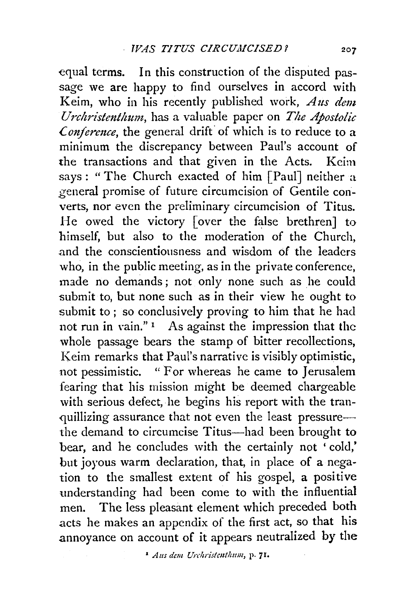equal terms. In this construction of the disputed passage we are happy to find ourselves in accord with Keim, who in his recently published work, *A us dem Urchristenthum,* has a valuable paper on *The Apostolic <i>£* conference, the general drift of which is to reduce to a minimum the discrepancy between Paul's account of the transactions and that given in the Acts. Keim says : " The Church exacted of him [Paul] neither a general promise of future circumcision of Gentile converts, nor even the preliminary circumcision of Titus. He owed the victory [over the false brethren] to himself, but also to the moderation of the Church, .and the conscientiousness and wisdom of the leaders who, in the public meeting, as in the private conference, made no demands ; not only none such as he could submit to, but none such as in their view he ought to submit to; so conclusively proving to him that he had not run in vain."<sup>1</sup> As against the impression that the whole passage bears the stamp of bitter recollections, Keim remarks that Paul's narrative is visibly optimistic, not pessimistic. " For whereas he came to Jerusalem fearing that his mission might be deemed chargeable with serious defect, he begins his report with the tranquillizing assurance that not even the least pressurethe demand to circumcise Titus-had been brought to bear, and he concludes with the certainly not ' cold,' but joyous warm declaration, that, in place of a negation to the smallest extent of his gospel, a positive understanding had been come to with the influential men. The less pleasant element which preceded both acts he makes an appendix of the first act, so that his annoyance on account of it appears neutralized by the

<sup>1</sup> *Aus dem Urchristenthum*, p. 71.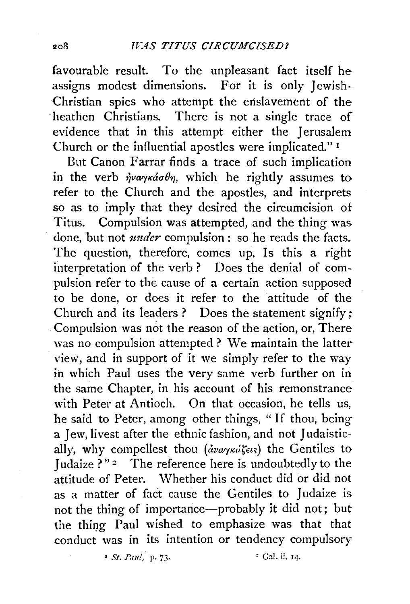favourable result. To the unpleasant fact itself he assigns modest dimensions. For it is only Jewish-Christian spies who attempt the enslavement of the heathen Christians. There is not a single trace of evidence that in this attempt either the Jerusalem Church or the influential apostles were implicated." <sup>I</sup>

But Canon Farrar finds a trace of such implication in the verb  $\dot{\eta}$ vayká $\sigma \theta$ , which he rightly assumes to refer to the Church and the apostles, and interprets so as to imply that they desired the circumcision of Titus. Compulsion was attempted, and the thing was done, but not *under* compulsion: so he reads the facts. The question, therefore, comes up, Is this a right interpretation of the verb ? Does the denial of compulsion refer to the cause of a certain action supposed to be done, or does it refer to the attitude of the Church and its leaders ? Does the statement signify; Compulsion was not the reason of the action, or, There was no compulsion attempted ? We maintain the latter view, and in support of it we simply refer to the way in which Paul uses the very same verb further on in the same Chapter, in his account of his remonstrance with Peter at Antioch. On that occasion, he tells us, he said to Peter, among other things, " If thou, being a Jew, livest after the ethnic fashion, and not Judaistically, why compellest thou *(αναγκώζεις)* the Gentiles to Judaize ?"<sup>2</sup> The reference here is undoubtedly to the attitude of Peter. Whether his conduct did or did not as a matter of fact cause the Gentiles to Judaize is not the thing of importance-probably it did not; but the thing Paul wished to emphasize was that that conduct was in its intention or tendency compulsory

' *St. Paul,* p. 73· " Gal. ii. 14·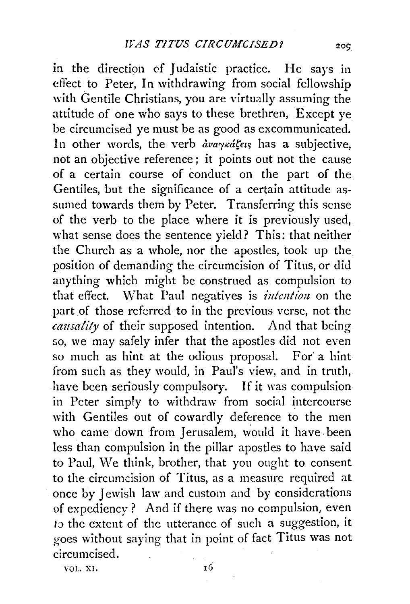in the direction of Judaistic practice. He says in effect. to Peter, In withdrawing from social fellowship with Gentile Christians, you are virtually assuming the attitude of one who says to these brethren, Except ye be circumcised ye must be as good as excommunicated. In other words, the verb  $\frac{\partial v}{\partial x}$  *ava y kasetrive*, not an objective reference; it points out not the cause of a certain course of conduct on the part of the Gentiles, but the significance of a certain attitude assumed towards them by Peter. Transferring this sense of the verb to the place where it is previously used, what sense does the sentence yield? This: that neither the Church as a whole, nor the apostles, took up the position of demanding the circumcision of Titus, or did anything which might be construed as compulsion to that effect. What Paul negatives is *intention* on the part of those referred to in the previous verse, not the *causality* of their supposed intention. And that being so, we may safely infer that the apostles did not even so much as hint at the odious proposal. For' a hint from such as they would, in Paul's view, and in truth, have been seriously compulsory. If it was compulsion in Peter simply to withdraw from social intercourse with Gentiles out of cowardly deference to the men who came down from Jerusalem, would it have been less than compulsion in the pillar apostles to have said to Paul, We think, brother, that you ought to consent to the circumcision of Titus, as a measure required at once by Jewish law and custom and by considerations of expediency ? And if there was no compulsion, even I;) the extent of the utterance of such a suggestion, it goes without saying that in point of fact Titus was not circumcised.

VOL. XI.

 $20C$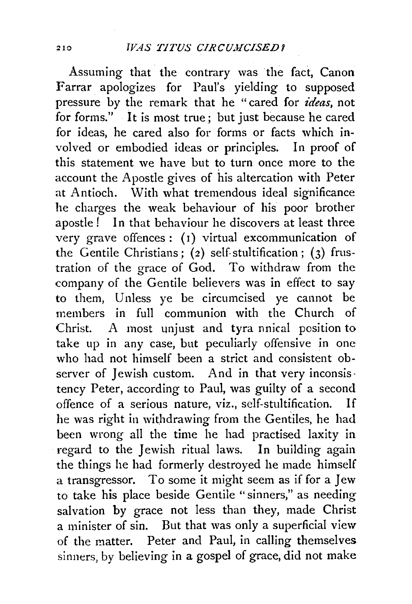Assuming that the contrary was the fact, Canon Farrar apologizes for Paul's yielding to supposed pressure by the remark that he "cared for *ideas*, not for forms." It is most true; but just because he cared for ideas, he cared also for forms or facts which involved or embodied ideas or principles. In proof of this statement we have but to turn once more to the account the Apostle gives of his altercation with Peter at Antioch. With what tremendous ideal significance he charges the weak behaviour of his poor brother apostle! In that behaviour he discovers at least three very grave offences: (1) virtual excommunication of the Gentile Christians; (2) self-stultification; (3) frustration of the grace of God. To withdraw from the company of the Gentile believers was in effect to say to them, Unless ye be circumcised ye cannot be members in full communion with the Church of Christ. A most unjust and tyra nnical position to take up in any case, but peculiarly offensive in one who had not himself been a strict and consistent observer of Jewish custom. And in that very inconsis · tency Peter, according to Paul, was guilty of a second offence of a serious nature, viz., self-stultification. If he was right in withdrawing from the Gentiles, he had been wrong all the time he had practised laxity in regard to the Jewish ritual laws. In building again the things he had formerly destroyed he made himself a transgressor. To some it might seem as if for a Jew to take his place beside Gentile " sinners,'' as needing salvation by grace not less than they, made Christ a minister of sin. But that was only a superficial view of the matter. Peter and Paul, in calling themselves sinners, by believing in a gospel of grace, did not make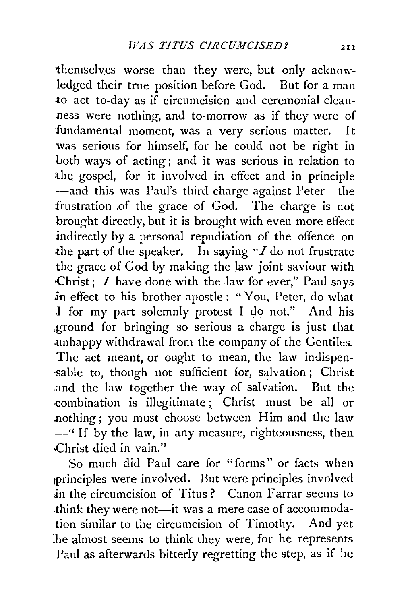themselves worse than they were, but only acknowledged their true position before God. But for a man .to act to-day as if circumcision and ceremonial cleanness were nothing, and to-morrow as if they were of fundamental moment, was a very serious matter. It was serious for himself, for he could not be right in both ways of acting; and it was serious in relation to ithe gospel, for it involved in effect and in principle -and this was Paul's third charge against Peter-the frustration ,of the grace of God. The charge is not brought directly, but it is brought with even more effect indirectly by a personal repudiation of the offence on the part of the speaker. In saying "I do not frustrate the grace of God by making the law joint saviour with Christ;  $I$  have done with the law for ever," Paul says in effect to his brother apostle : "You, Peter, do what J for my part solemnly protest I do not." And his ,ground for bringing so serious a charge is just that .unhappy withdrawal from the company of the Gentiles. The act meant, or ought to mean, the law indispen-·sable to, though not sufficient for, salvation; Christ .and the law together the way of salvation. But the -combination is illegitimate ; Christ must be all or nothing; you must choose between Him and the law --"If by the law, in any measure, righteousness, then .Christ died in vain.''

So much did Paul care for "forms" or facts when tprinciples were involved. But were principles involved in the circumcision of Titus? Canon Farrar seems to .think they were not-it was a mere case of accommodation similar to the circumcision of Timothy. And yet be almost seems to think they were, for he represents Paul as afterwards bitterly regretting the step, as if he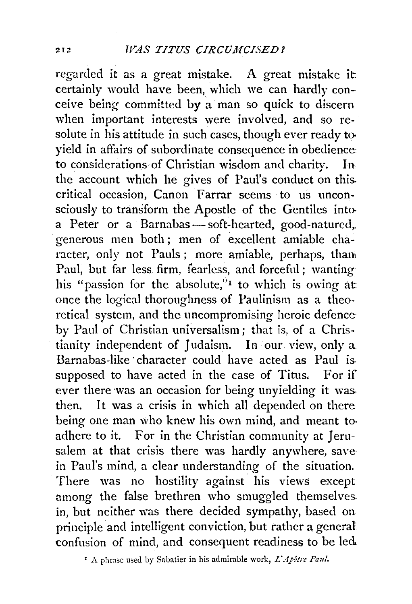regarded it as a great mistake. A great mistake it certainly would have been, which we can hardly conceive being committed by a man so quick to discern when important interests were involved, and so resolute in his attitude in such cases, though ever ready to yield in affairs of subordinate consequence in obedience, to considerations of Christian wisdom and charity. In the account which he gives of Paul's conduct on this. critical occasion, Canon Farrar seems to us unconsciously to transform the Apostle of the Gentiles into· a Peter or a Barnabas - soft-hearted, good-natured, generous men both ; men of excellent amiable character, only not Pauls; more amiable, perhaps, than Paul, but far less firm, fearless, and forceful ; wanting his "passion for the absolute," to which is owing at: once the logical thoroughness of Paulinism as a theoretical system, and the uncompromising heroic defence by Paul of Christian universalism; that is, of a Christianity independent of Judaism. In our view, only a Barnabas-like character could have acted as Paul is. supposed to have acted in the case of Titus. For if ever there was an occasion for being unyielding it was. then. It was a crisis in which all depended on there being one man who knew his own mind, and meant to adhere to it. For in the Christian community at Jerusalem at that crisis there was hardly anywhere, savein Paul's mind, a clear understanding of the situation. There was no hostility against his views except among the false brethren who smuggled themselves. in, but neither was there decided sympathy, based on principle and intelligent conviction, but rather a general confusion of mind, and consequent readiness to be led..

 $\cdot$  A phrase used by Sabatier in his admirable work, *L'Apôtre Paul.*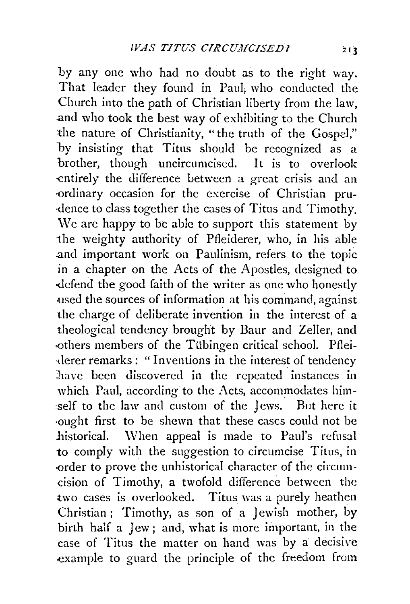by any one who had no doubt as to the right way. That leader they found in Paul; who conducted the Church into the path of Christian liberty from the law, .and who took the best way of exhibiting to the Church the nature of Christianity, "the truth of the Gospel," by insisting that Titus should be recognized as a brother, though uncircumcised. It is to overlook entirely the difference between a great crisis and an ·ordinary occasion for the exercise of Christian pru- ·dence to class together the cases of Titus and Timothy. We are happy to be able to support this statement by the weighty authority of Pfleiderer, who, in his able .and important work on Paulinism, refers to the topic in a chapter on the Acts of the Apostles, designed to defend the good faith of the writer as one who honestly used the sources of information at his command, against the charge of deliberate invention in the interest of a theological tendency brought by Baur and Zeller, and others members of the Tübingen critical school. Pflei-·(lerer remarks: "Inventions in the interest of tendency have been discovered in the repeated instances in which Paul, according to the Acts, accommodates him self to the law and custom of the Jews. But here it ·ought first to be shewn that these cases could not be historical. When appeal is made to Paul's refusal to comply with the suggestion to circumcise Titus, in -order to prove the unhistorical character of the circumcision of Timothy, a twofold difference between the two cases is overlooked. Titus was a purely heathen Christian ; Timothy, as son of a Jewish mother, by birth half a Jew; and, what is more important, in the case of Titus the matter on hand was by a decisive example to guard the principle of the freedom from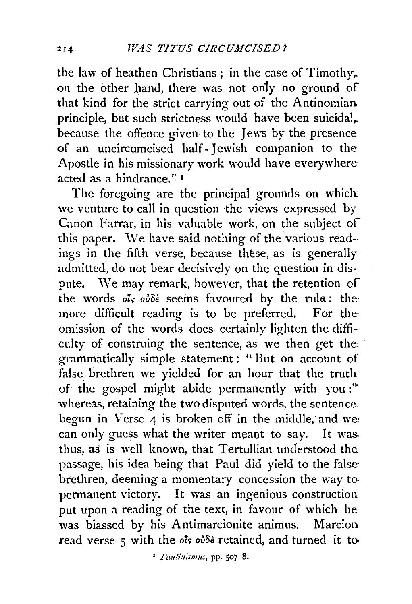the law of heathen Christians ; in the case of Timothy;. on the other hand, there was not only no ground of that kind for the strict carrying out of the Antinomian. principle, but such strictness would have been suicidal,. because the offence given to the Jews by the presence of an uncircumcised half- Jewish companion to the Apostle in his missionary work would have everywhere: acted as a hindrance." 1

The foregoing are the principal grounds on which: we venture to call in question the views expressed by Canon Farrar, in his valuable work, on the subject of this paper. We have said nothing of the various readings in the fifth verse, because these, as is generally admitted, do not bear decisively on the question in dispute. We may remark, however, that the retention of the words ols ou<sup>5</sup> seems favoured by the rule: the more difficult reading is to be preferred. For the omission of the words does certainly lighten the difficulty of construing the sentence, as we then get the grammatically simple statement : " But on account of false brethren we yielded for an hour that the truth of the gospel might abide permanently with you;"' whereas, retaining the two disputed words, the sentence. begun in Verse 4 is broken off in the middle, and we: can only guess what the writer meant to say. It was. thus, as is well known, that Tertullian understood the: passage, his idea being that Paul did yield to the false brethren, deeming a momentary concession the way to. permanent victory. It was an ingenious construction. put upon a reading of the text, in favour of which he was biassed by his Antimarcionite animus. Marcion read verse 5 with the *ols ov*δε retained, and turned it to-

<sup>1</sup> Paulinismus, pp. 507-8.